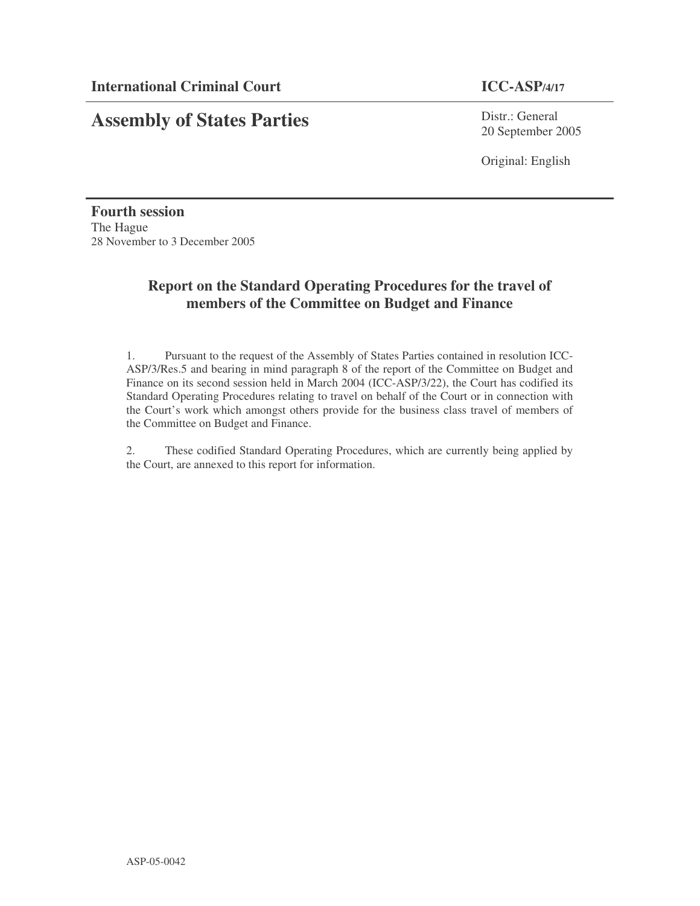# **Assembly of States Parties**

Distr.: General 20 September 2005

Original: English

**Fourth session** The Hague 28 November to 3 December 2005

## **Report on the Standard Operating Procedures for the travel of members of the Committee on Budget and Finance**

1. Pursuant to the request of the Assembly of States Parties contained in resolution ICC-ASP/3/Res.5 and bearing in mind paragraph 8 of the report of the Committee on Budget and Finance on its second session held in March 2004 (ICC-ASP/3/22), the Court has codified its Standard Operating Procedures relating to travel on behalf of the Court or in connection with the Court's work which amongst others provide for the business class travel of members of the Committee on Budget and Finance.

2. These codified Standard Operating Procedures, which are currently being applied by the Court, are annexed to this report for information.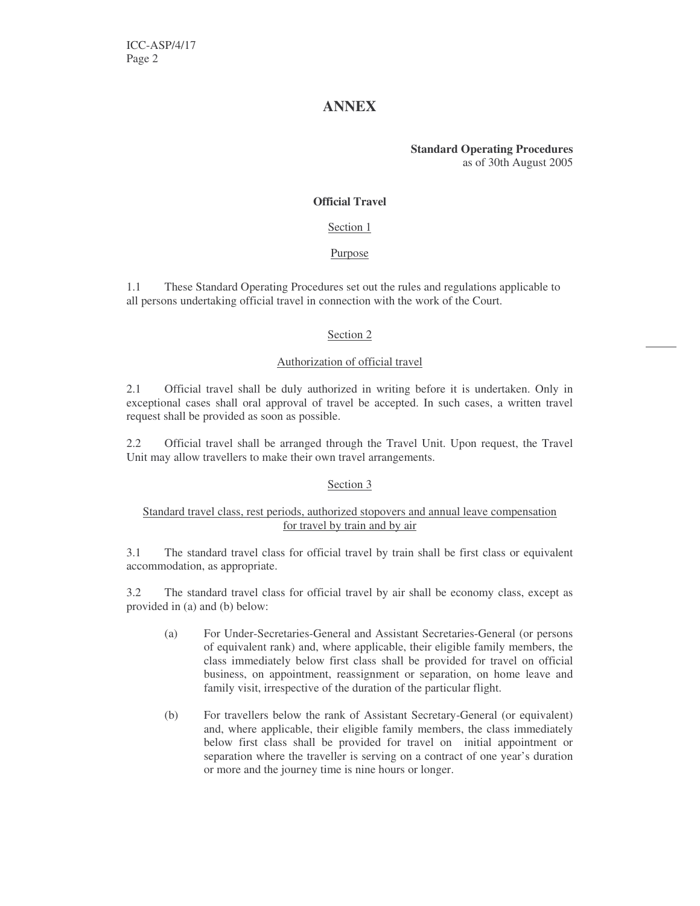## **ANNEX**

**Standard Operating Procedures** as of 30th August 2005

#### **Official Travel**

#### Section 1

#### Purpose

1.1 These Standard Operating Procedures set out the rules and regulations applicable to all persons undertaking official travel in connection with the work of the Court.

#### Section 2

#### Authorization of official travel

2.1 Official travel shall be duly authorized in writing before it is undertaken. Only in exceptional cases shall oral approval of travel be accepted. In such cases, a written travel request shall be provided as soon as possible.

2.2 Official travel shall be arranged through the Travel Unit. Upon request, the Travel Unit may allow travellers to make their own travel arrangements.

#### Section 3

#### Standard travel class, rest periods, authorized stopovers and annual leave compensation for travel by train and by air

3.1 The standard travel class for official travel by train shall be first class or equivalent accommodation, as appropriate.

3.2 The standard travel class for official travel by air shall be economy class, except as provided in (a) and (b) below:

- (a) For Under-Secretaries-General and Assistant Secretaries-General (or persons of equivalent rank) and, where applicable, their eligible family members, the class immediately below first class shall be provided for travel on official business, on appointment, reassignment or separation, on home leave and family visit, irrespective of the duration of the particular flight.
- (b) For travellers below the rank of Assistant Secretary-General (or equivalent) and, where applicable, their eligible family members, the class immediately below first class shall be provided for travel on initial appointment or separation where the traveller is serving on a contract of one year's duration or more and the journey time is nine hours or longer.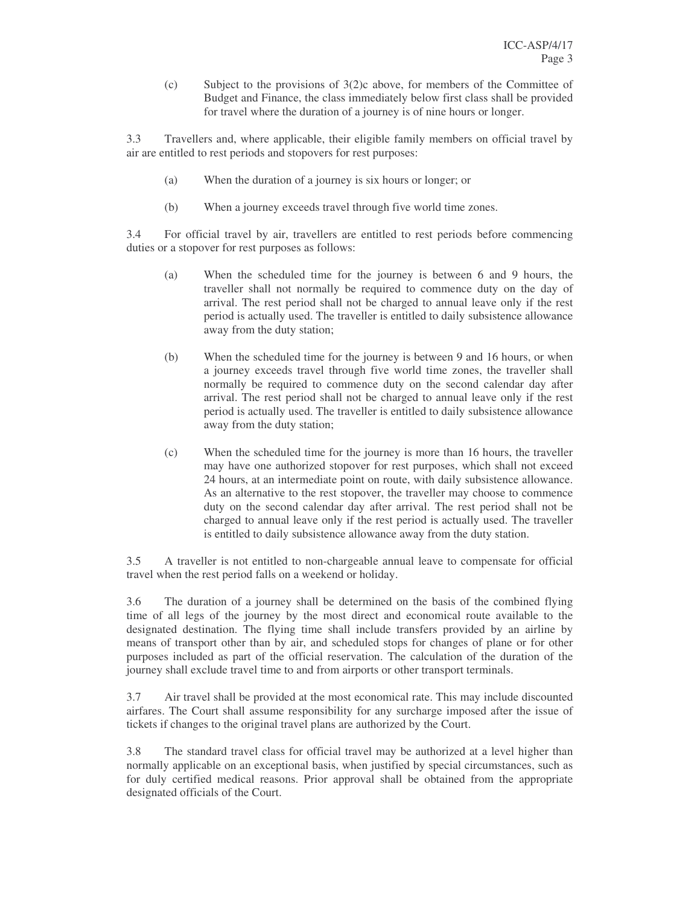(c) Subject to the provisions of 3(2)c above, for members of the Committee of Budget and Finance, the class immediately below first class shall be provided for travel where the duration of a journey is of nine hours or longer.

3.3 Travellers and, where applicable, their eligible family members on official travel by air are entitled to rest periods and stopovers for rest purposes:

- (a) When the duration of a journey is six hours or longer; or
- (b) When a journey exceeds travel through five world time zones.

3.4 For official travel by air, travellers are entitled to rest periods before commencing duties or a stopover for rest purposes as follows:

- (a) When the scheduled time for the journey is between 6 and 9 hours, the traveller shall not normally be required to commence duty on the day of arrival. The rest period shall not be charged to annual leave only if the rest period is actually used. The traveller is entitled to daily subsistence allowance away from the duty station;
- (b) When the scheduled time for the journey is between 9 and 16 hours, or when a journey exceeds travel through five world time zones, the traveller shall normally be required to commence duty on the second calendar day after arrival. The rest period shall not be charged to annual leave only if the rest period is actually used. The traveller is entitled to daily subsistence allowance away from the duty station;
- (c) When the scheduled time for the journey is more than 16 hours, the traveller may have one authorized stopover for rest purposes, which shall not exceed 24 hours, at an intermediate point on route, with daily subsistence allowance. As an alternative to the rest stopover, the traveller may choose to commence duty on the second calendar day after arrival. The rest period shall not be charged to annual leave only if the rest period is actually used. The traveller is entitled to daily subsistence allowance away from the duty station.

3.5 A traveller is not entitled to non-chargeable annual leave to compensate for official travel when the rest period falls on a weekend or holiday.

3.6 The duration of a journey shall be determined on the basis of the combined flying time of all legs of the journey by the most direct and economical route available to the designated destination. The flying time shall include transfers provided by an airline by means of transport other than by air, and scheduled stops for changes of plane or for other purposes included as part of the official reservation. The calculation of the duration of the journey shall exclude travel time to and from airports or other transport terminals.

3.7 Air travel shall be provided at the most economical rate. This may include discounted airfares. The Court shall assume responsibility for any surcharge imposed after the issue of tickets if changes to the original travel plans are authorized by the Court.

3.8 The standard travel class for official travel may be authorized at a level higher than normally applicable on an exceptional basis, when justified by special circumstances, such as for duly certified medical reasons. Prior approval shall be obtained from the appropriate designated officials of the Court.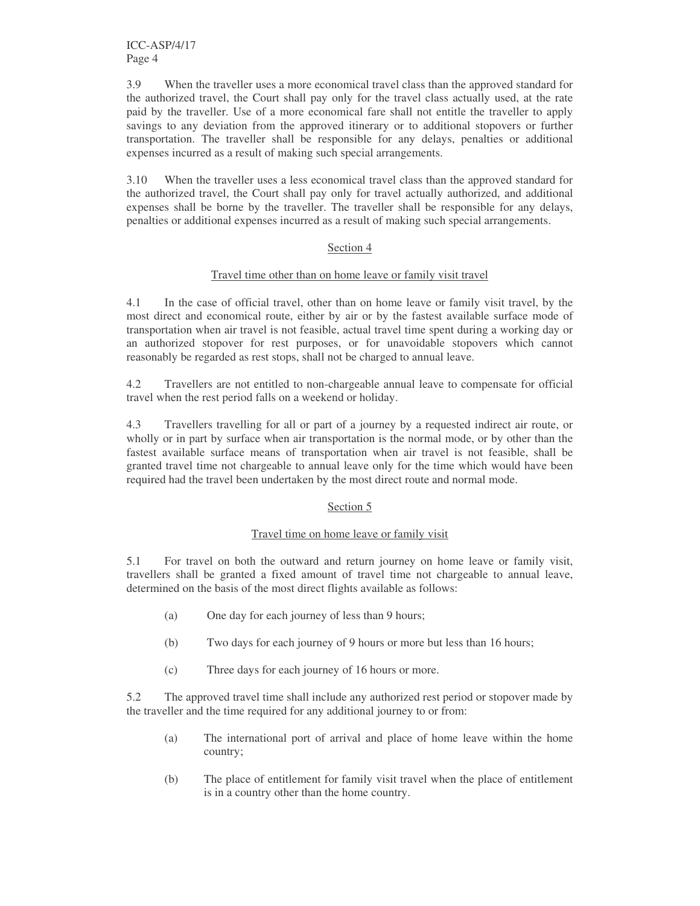ICC-ASP/4/17 Page 4

3.9 When the traveller uses a more economical travel class than the approved standard for the authorized travel, the Court shall pay only for the travel class actually used, at the rate paid by the traveller. Use of a more economical fare shall not entitle the traveller to apply savings to any deviation from the approved itinerary or to additional stopovers or further transportation. The traveller shall be responsible for any delays, penalties or additional expenses incurred as a result of making such special arrangements.

3.10 When the traveller uses a less economical travel class than the approved standard for the authorized travel, the Court shall pay only for travel actually authorized, and additional expenses shall be borne by the traveller. The traveller shall be responsible for any delays, penalties or additional expenses incurred as a result of making such special arrangements.

#### Section 4

#### Travel time other than on home leave or family visit travel

4.1 In the case of official travel, other than on home leave or family visit travel, by the most direct and economical route, either by air or by the fastest available surface mode of transportation when air travel is not feasible, actual travel time spent during a working day or an authorized stopover for rest purposes, or for unavoidable stopovers which cannot reasonably be regarded as rest stops, shall not be charged to annual leave.

4.2 Travellers are not entitled to non-chargeable annual leave to compensate for official travel when the rest period falls on a weekend or holiday.

4.3 Travellers travelling for all or part of a journey by a requested indirect air route, or wholly or in part by surface when air transportation is the normal mode, or by other than the fastest available surface means of transportation when air travel is not feasible, shall be granted travel time not chargeable to annual leave only for the time which would have been required had the travel been undertaken by the most direct route and normal mode.

#### Section 5

#### Travel time on home leave or family visit

5.1 For travel on both the outward and return journey on home leave or family visit, travellers shall be granted a fixed amount of travel time not chargeable to annual leave, determined on the basis of the most direct flights available as follows:

- (a) One day for each journey of less than 9 hours;
- (b) Two days for each journey of 9 hours or more but less than 16 hours;
- (c) Three days for each journey of 16 hours or more.

5.2 The approved travel time shall include any authorized rest period or stopover made by the traveller and the time required for any additional journey to or from:

- (a) The international port of arrival and place of home leave within the home country;
- (b) The place of entitlement for family visit travel when the place of entitlement is in a country other than the home country.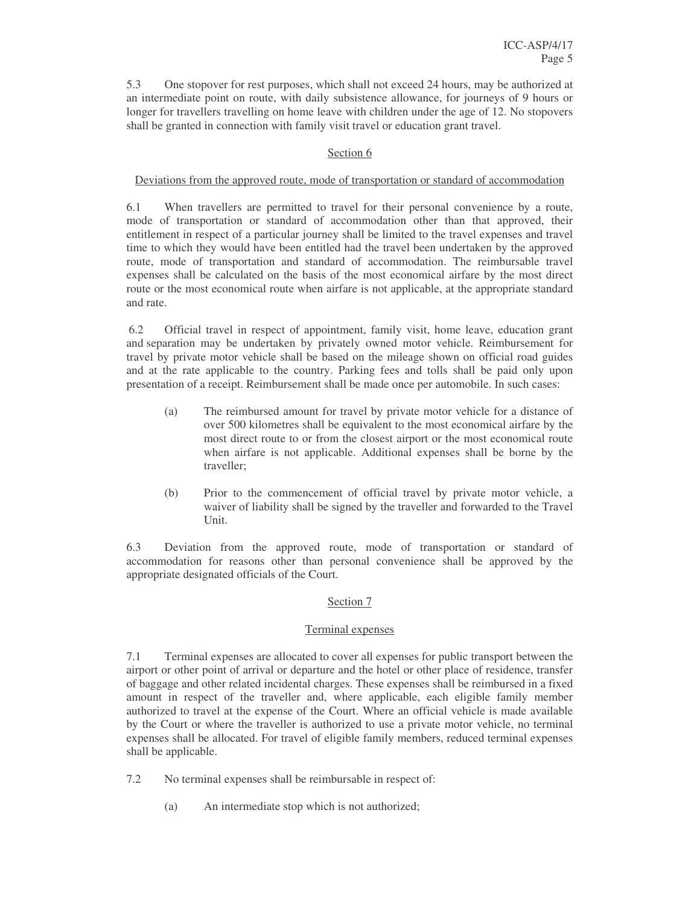5.3 One stopover for rest purposes, which shall not exceed 24 hours, may be authorized at an intermediate point on route, with daily subsistence allowance, for journeys of 9 hours or longer for travellers travelling on home leave with children under the age of 12. No stopovers shall be granted in connection with family visit travel or education grant travel.

#### Section 6

#### Deviations from the approved route, mode of transportation or standard of accommodation

6.1 When travellers are permitted to travel for their personal convenience by a route, mode of transportation or standard of accommodation other than that approved, their entitlement in respect of a particular journey shall be limited to the travel expenses and travel time to which they would have been entitled had the travel been undertaken by the approved route, mode of transportation and standard of accommodation. The reimbursable travel expenses shall be calculated on the basis of the most economical airfare by the most direct route or the most economical route when airfare is not applicable, at the appropriate standard and rate.

6.2 Official travel in respect of appointment, family visit, home leave, education grant and separation may be undertaken by privately owned motor vehicle. Reimbursement for travel by private motor vehicle shall be based on the mileage shown on official road guides and at the rate applicable to the country. Parking fees and tolls shall be paid only upon presentation of a receipt. Reimbursement shall be made once per automobile. In such cases:

- (a) The reimbursed amount for travel by private motor vehicle for a distance of over 500 kilometres shall be equivalent to the most economical airfare by the most direct route to or from the closest airport or the most economical route when airfare is not applicable. Additional expenses shall be borne by the traveller;
- (b) Prior to the commencement of official travel by private motor vehicle, a waiver of liability shall be signed by the traveller and forwarded to the Travel Unit.

6.3 Deviation from the approved route, mode of transportation or standard of accommodation for reasons other than personal convenience shall be approved by the appropriate designated officials of the Court.

#### Section 7

### Terminal expenses

7.1 Terminal expenses are allocated to cover all expenses for public transport between the airport or other point of arrival or departure and the hotel or other place of residence, transfer of baggage and other related incidental charges. These expenses shall be reimbursed in a fixed amount in respect of the traveller and, where applicable, each eligible family member authorized to travel at the expense of the Court. Where an official vehicle is made available by the Court or where the traveller is authorized to use a private motor vehicle, no terminal expenses shall be allocated. For travel of eligible family members, reduced terminal expenses shall be applicable.

- 7.2 No terminal expenses shall be reimbursable in respect of:
	- (a) An intermediate stop which is not authorized;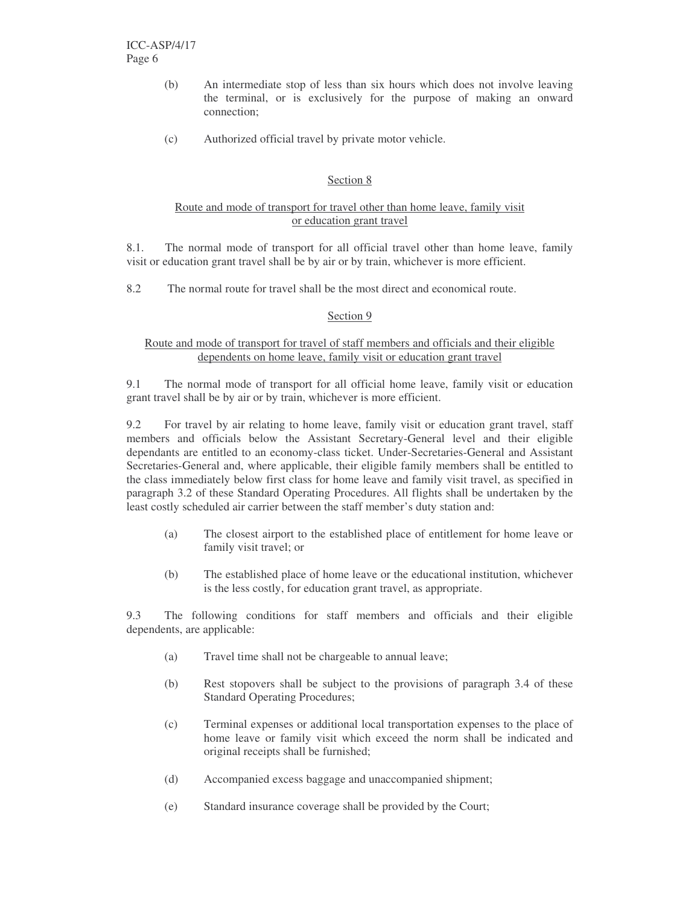- (b) An intermediate stop of less than six hours which does not involve leaving the terminal, or is exclusively for the purpose of making an onward connection;
- (c) Authorized official travel by private motor vehicle.

#### Section 8

#### Route and mode of transport for travel other than home leave, family visit or education grant travel

8.1. The normal mode of transport for all official travel other than home leave, family visit or education grant travel shall be by air or by train, whichever is more efficient.

8.2 The normal route for travel shall be the most direct and economical route.

#### Section 9

#### Route and mode of transport for travel of staff members and officials and their eligible dependents on home leave, family visit or education grant travel

9.1 The normal mode of transport for all official home leave, family visit or education grant travel shall be by air or by train, whichever is more efficient.

9.2 For travel by air relating to home leave, family visit or education grant travel, staff members and officials below the Assistant Secretary-General level and their eligible dependants are entitled to an economy-class ticket. Under-Secretaries-General and Assistant Secretaries-General and, where applicable, their eligible family members shall be entitled to the class immediately below first class for home leave and family visit travel, as specified in paragraph 3.2 of these Standard Operating Procedures. All flights shall be undertaken by the least costly scheduled air carrier between the staff member's duty station and:

- (a) The closest airport to the established place of entitlement for home leave or family visit travel; or
- (b) The established place of home leave or the educational institution, whichever is the less costly, for education grant travel, as appropriate.

9.3 The following conditions for staff members and officials and their eligible dependents, are applicable:

- (a) Travel time shall not be chargeable to annual leave;
- (b) Rest stopovers shall be subject to the provisions of paragraph 3.4 of these Standard Operating Procedures;
- (c) Terminal expenses or additional local transportation expenses to the place of home leave or family visit which exceed the norm shall be indicated and original receipts shall be furnished;
- (d) Accompanied excess baggage and unaccompanied shipment;
- (e) Standard insurance coverage shall be provided by the Court;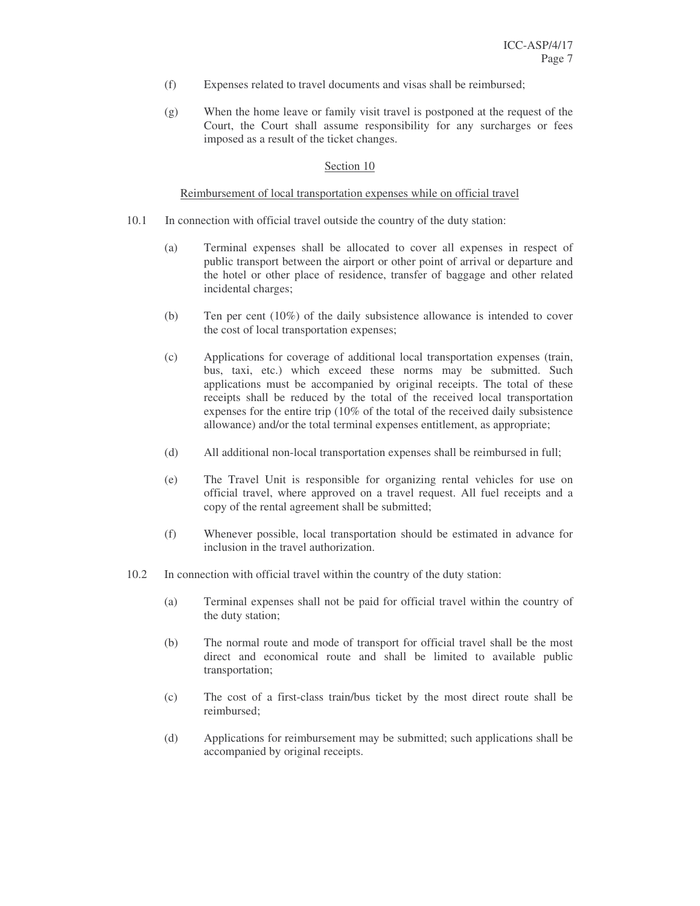- (f) Expenses related to travel documents and visas shall be reimbursed;
- (g) When the home leave or family visit travel is postponed at the request of the Court, the Court shall assume responsibility for any surcharges or fees imposed as a result of the ticket changes.

#### Section 10

#### Reimbursement of local transportation expenses while on official travel

- 10.1 In connection with official travel outside the country of the duty station:
	- (a) Terminal expenses shall be allocated to cover all expenses in respect of public transport between the airport or other point of arrival or departure and the hotel or other place of residence, transfer of baggage and other related incidental charges;
	- (b) Ten per cent (10%) of the daily subsistence allowance is intended to cover the cost of local transportation expenses;
	- (c) Applications for coverage of additional local transportation expenses (train, bus, taxi, etc.) which exceed these norms may be submitted. Such applications must be accompanied by original receipts. The total of these receipts shall be reduced by the total of the received local transportation expenses for the entire trip (10% of the total of the received daily subsistence allowance) and/or the total terminal expenses entitlement, as appropriate;
	- (d) All additional non-local transportation expenses shall be reimbursed in full;
	- (e) The Travel Unit is responsible for organizing rental vehicles for use on official travel, where approved on a travel request. All fuel receipts and a copy of the rental agreement shall be submitted;
	- (f) Whenever possible, local transportation should be estimated in advance for inclusion in the travel authorization.
- 10.2 In connection with official travel within the country of the duty station:
	- (a) Terminal expenses shall not be paid for official travel within the country of the duty station;
	- (b) The normal route and mode of transport for official travel shall be the most direct and economical route and shall be limited to available public transportation;
	- (c) The cost of a first-class train/bus ticket by the most direct route shall be reimbursed;
	- (d) Applications for reimbursement may be submitted; such applications shall be accompanied by original receipts.